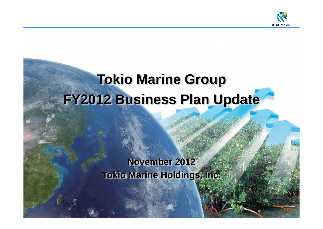

# **Tokio Marine Group FY2012 Business Plan Update**

# **November 2012 Tokio Marine Holdings, Inc.**

Copyright (c) 2012 Tokio Marine Holdings, Inc.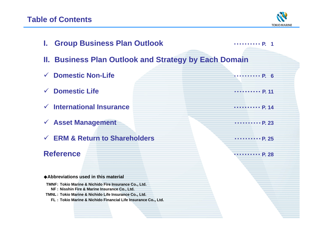# **Table of Contents**



| <b>I. Group Business Plan Outlook</b>                                                                  | $\cdots \cdots \cdots P$ 1                                   |  |  |  |  |  |  |  |
|--------------------------------------------------------------------------------------------------------|--------------------------------------------------------------|--|--|--|--|--|--|--|
|                                                                                                        | <b>II. Business Plan Outlook and Strategy by Each Domain</b> |  |  |  |  |  |  |  |
| <b>Domestic Non-Life</b>                                                                               | $\cdots \cdots P.6$                                          |  |  |  |  |  |  |  |
| <b>Domestic Life</b>                                                                                   | $\cdots \cdots \cdots P$ . 11                                |  |  |  |  |  |  |  |
| $\checkmark$ International Insurance                                                                   | P. 14                                                        |  |  |  |  |  |  |  |
| $\checkmark$ Asset Management                                                                          | $\cdots \cdots \cdots P. 23$                                 |  |  |  |  |  |  |  |
| $\checkmark$ ERM & Return to Shareholders                                                              | $\cdots \cdots \cdots P. 25$                                 |  |  |  |  |  |  |  |
| <b>Reference</b>                                                                                       | 111111111 P. 28                                              |  |  |  |  |  |  |  |
| ◆ Abbreviations used in this material                                                                  |                                                              |  |  |  |  |  |  |  |
| TMNF: Tokio Marine & Nichido Fire Insurance Co., Ltd.                                                  |                                                              |  |  |  |  |  |  |  |
| NF: Nisshin Fire & Marine Insurance Co., Ltd.<br>TMNL: Tokio Marine & Nichido Life Insurance Co., Ltd. |                                                              |  |  |  |  |  |  |  |
| FL : Tokio Marine & Nichido Financial Life Insurance Co., Ltd.                                         |                                                              |  |  |  |  |  |  |  |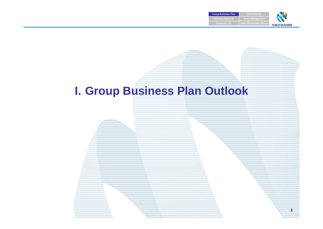

**1**

# **I. Group Business Plan Outlook**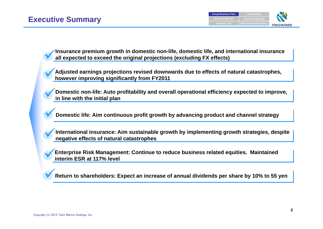**Insurance premium growth in domestic non-life, domestic life, and international insurance all expected to exceed the original projections (excluding FX effects)**

**Adjusted earnings projections revised downwards due to effects of natural catastrophes, however improving significantly from FY2011**

**Domestic non-life: Auto profitability and overall operational efficiency expected to improve, in line with the initial plan**

**Domestic life: Aim continuous profit growth by advancing product and channel strategy**

**International insurance: Aim sustainable growth by implementing growth strategies, despite negative effects of natural catastrophes**

**Enterprise Risk Management: Continue to reduce business related equities. Maintained interim ESR at 117% level**

**Return to shareholders: Expect an increase of annual dividends per share by 10% to 55 yen**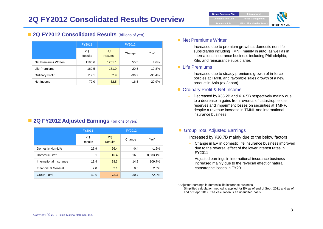

#### **2Q FY2012 Consolidated Results** (billions of yen)

|                        | FY2011               |                      | FY2012  |          |
|------------------------|----------------------|----------------------|---------|----------|
|                        | 2Q<br><b>Results</b> | 2Q<br><b>Results</b> | Change  | YoY      |
| Net Premiums Written   | 1195.6               | 1251.1               | 55.5    | 4.6%     |
| Life Premiums          | 160.5                | 181.0                | 20.5    | 12.8%    |
| <b>Ordinary Profit</b> | 119.1                | 82.9                 | $-36.2$ | $-30.4%$ |
| Net Income             | 79.0                 | 62.5                 | $-16.5$ | $-20.9%$ |

#### **2Q FY2012 Adjusted Earnings** (billions of yen)

|                         | FY2011               |                      | FY2012 |          |
|-------------------------|----------------------|----------------------|--------|----------|
|                         | 2Q<br><b>Results</b> | 2Q<br><b>Results</b> | Change | YoY      |
| Domestic Non-Life       | 26.9                 | 26.4                 | $-0.4$ | $-1.6%$  |
| Domestic Life*          | 0.1                  | 16.4                 | 16.3   | 8,533.4% |
| International Insurance | 13.4                 | 28.3                 | 14.8   | 109.7%   |
| Financial & General     | 2.0                  | 2.1                  | 0.0    | 2.6%     |
| Group Total             | 42.6                 | 73.3                 | 30.7   | 72.0%    |

#### • Net Premiums Written

 Increased due to premium growth at domestic non-life subsidiaries including TMNF mainly in auto, as well as in international insurance business including Philadelphia, Kiln, and reinsurance subsidiaries

#### ● Life Premiums

– Increased due to steady premiums growth of in-force policies at TMNL and favorable sales growth of a new product in Asia (ex-Japan)

#### **• Ordinary Profit & Net Income**

 Decreased by ¥36.2B and ¥16.5B respectively mainly due to a decrease in gains from reversal of catastrophe loss reserves and impairment losses on securities at TMNF, despite a revenue increase in TMNL and international insurance business

#### **• Group Total Adjusted Earnings**

Increased by ¥30.7B mainly due to the below factors

- Change in EV in domestic life insurance business improved due to the reversal effect of the lower interest rates in FY2011
- Adjusted earnings in international insurance business increased mainly due to the reversal effect of natural catastrophe losses in FY2011

\*Adjusted earnings in domestic life insurance business Simplified calculation method is applied for EV as of end of Sept, 2011 and as of end of Sept, 2012. The calculation is an unaudited basis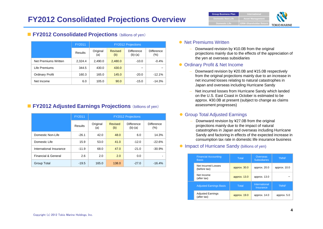

#### **FY2012 Consolidated Projections** (billions of yen)

|                        | FY2011  | <b>FY2012 Projections</b> |                       |                         |                       |  |  |
|------------------------|---------|---------------------------|-----------------------|-------------------------|-----------------------|--|--|
|                        | Results | Original<br>(a)           | <b>Revised</b><br>(b) | Difference<br>$(b)-(a)$ | Difference<br>$(\% )$ |  |  |
| Net Premiums Written   | 2,324.4 | 2,490.0                   | 2,480.0               | $-10.0$                 | $-0.4%$               |  |  |
| Life Premiums          | 344.5   | 430.0                     | 430.0                 |                         |                       |  |  |
| <b>Ordinary Profit</b> | 160.3   | 165.0                     | 145.0                 | $-20.0$                 | $-12.1%$              |  |  |
| Net Income             | 6.0     | 105.0                     | 90.0                  | $-15.0$                 | $-14.3%$              |  |  |

### **FY2012 Adjusted Earnings Projections** (billions of yen)

|                         | FY2011  | <b>FY2012 Projections</b> |                       |                                |                          |  |  |  |
|-------------------------|---------|---------------------------|-----------------------|--------------------------------|--------------------------|--|--|--|
|                         | Results | Original<br>(a)           | <b>Revised</b><br>(b) | <b>Difference</b><br>$(b)-(a)$ | <b>Difference</b><br>(%) |  |  |  |
| Domestic Non-Life       | $-26.1$ | 42.0                      | 48.0                  | 6.0                            | 14.3%                    |  |  |  |
| Domestic Life           | 15.9    | 53.0                      | 41.0                  | $-12.0$                        | $-22.6%$                 |  |  |  |
| International Insurance | $-11.9$ | 68.0                      | 47.0                  | $-21.0$                        | $-30.9%$                 |  |  |  |
| Financial & General     | 2.6     | 2.0                       | 2.0                   | 0.0                            |                          |  |  |  |
| Group Total             | $-19.5$ | 165.0                     | 138.0                 | $-27.0$                        | $-16.4%$                 |  |  |  |

#### • Net Premiums Written

– Downward revision by ¥10.0B from the original projections mainly due to the effects of the appreciation of the yen at overseas subsidiaries

#### **• Ordinary Profit & Net Income**

- Downward revision by ¥20.0B and ¥15.0B respectively from the original projections mainly due to an increase in net incurred losses relating to natural catastrophes in Japan and overseas including Hurricane Sandy
- Net incurred losses from Hurricane Sandy which landed on the U.S. East Coast in October is estimated to be approx. ¥30.0B at present (subject to change as claims assessment progresses)

#### **• Group Total Adjusted Earnings**

 Downward revision by ¥27.0B from the original projections mainly due to the impact of natural catastrophes in Japan and overseas including Hurricane Sandy and factoring in effects of the expected increase in consumption tax rate in domestic life insurance business

#### **• Impact of Hurricane Sandy (billions of yen)**

| <b>Financial Accounting</b><br><b>Basis</b> | Total          | <b>Overseas</b><br><b>Subsidiaries</b> | <b>TMNF</b> |
|---------------------------------------------|----------------|----------------------------------------|-------------|
| Net Incurred Losses<br>(before tax)         | approx. $30.0$ | approx. 20.0                           | approx 10.0 |
| Net Income<br>(after tax)                   | approx. 13.0   | approx 13.0                            |             |
| <b>Adjusted Earnings Basis</b>              | Total          | International<br>Insurance             | <b>TMNF</b> |
| <b>Adjusted Earnings</b><br>(after tax)     | approx. 19.0   | approx. 14.0                           | approx. 5.0 |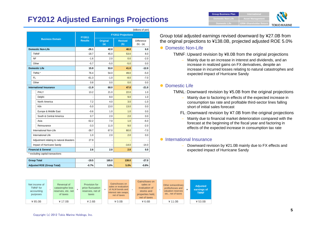# **FY2012 Adjusted Earnings Projections**

|                                          |                |                                                                              |         | (billions of yen) |  |
|------------------------------------------|----------------|------------------------------------------------------------------------------|---------|-------------------|--|
|                                          | FY2011         | <b>FY2012 Projections</b>                                                    |         |                   |  |
| <b>Business Domain</b>                   | <b>Results</b> | Original<br><b>Difference</b><br><b>Revised</b><br>(a)<br>(b)<br>$(b) - (a)$ |         |                   |  |
| <b>Domestic Non-Life</b>                 | $-26.1$        | 42.0                                                                         | 48.0    | 6.0               |  |
| <b>TMNF</b>                              | $-18.7$        | 45.0                                                                         | 53.0    | 8.0               |  |
| NF                                       | $-1.6$         | 2.0                                                                          | 0.0     | $-2.0$            |  |
| Other                                    | $-5.7$         | $-5.0$                                                                       | $-5.0$  | 0.0               |  |
| <b>Domestic Life</b>                     | 15.9           | 53.0                                                                         | 41.0    | $-12.0$           |  |
| TMNL*                                    | 76.4           | 54.0                                                                         | 49.0    | $-5.0$            |  |
| FL.                                      | $-61.3$        | $-1.0$                                                                       | $-8.0$  | $-7.0$            |  |
| Other                                    | 0.8            | 0.0                                                                          | 0.0     | 0.0               |  |
| <b>International Insurance</b>           | $-11.9$        | 68.0                                                                         | 47.0    | $-21.0$           |  |
| PHLY                                     | 13.2           | 21.0                                                                         | 22.0    | 1.0               |  |
| Delphi                                   |                | 8.0                                                                          | 9.0     | 1 <sub>0</sub>    |  |
| North America                            | 7.2            | 4.0                                                                          | 3.0     | $-1.0$            |  |
| Kiln                                     | $-5.0$         | 13.0<br>                                                                     | 13.0    | 0.0<br>.          |  |
| Europe & Middle East                     | $-0.6$         | 1.0                                                                          | 1.0     | 0.0               |  |
| South & Central America                  | 0.7            | 2.0                                                                          | 2.0     | 0.0               |  |
| Asia                                     | $-52.2$        | 7.0                                                                          | 1.0     | $-6.0$            |  |
| Reinsurance                              | $-3.3$         | 11.0                                                                         | 9.0     | $-2.0$            |  |
| International Non-Life                   | $-39.7$        | 67.0                                                                         | 60.0    | $-7.0$            |  |
| International Life                       | 1.0            | 2.0                                                                          | 2.0     | 0.0               |  |
| Adjustment relating to natural disasters | 27.9           |                                                                              |         |                   |  |
| Impact of Hurricane Sandy                | ٠              |                                                                              | $-14.0$ | $-14.0$           |  |
| <b>Financial &amp; General</b>           | 2.6            | 2.0                                                                          | 2.0     | 0.0               |  |
| * excluding capital transactions         |                |                                                                              |         |                   |  |

 **Group Total -19.5 165.0 138.0 -27.0 Adjusted ROE (Group Total) -0.7% 5.8% 5.0% -0.8%** 

Group total adjusted earnings revised downward by ¥27.0B from the original projections to ¥138.0B, projected adjusted ROE 5.0%

**Group Business Plan** 

**Domestic LifeDomestic Non-Life**

#### • Domestic Non-Life

TMNF:Upward revision by ¥8.0B from the original projections

 Mainly due to an increase in interest and dividends, and an increase in realized gains on FX derivatives, despite an increase in incurred losses relating to natural catastrophes and expected impact of Hurricane Sandy

**ERM** · Shareholder Return **Asset Management** 

**TOKIO MARINE** 

#### • Domestic Life

#### TMNL:Downward revision by ¥5.0B from the original projections

- Mainly due to factoring in effects of the expected increase in consumption tax rate and profitable third-sector lines falling short of initial sales forecast
- FL:Downward revision by ¥7.0B from the original projections
- Mainly due to financial market deterioration compared with the forecast at the beginning of the fiscal year and factoring in effects of the expected increase in consumption tax rate

#### **•** International Insurance

– Downward revision by ¥21.0B mainly due to FX effects and expected impact of Hurricane Sandy

| Net income of<br><b>TMNF</b> for<br>accounting<br>purposes | Reversal of<br>catastrophe loss<br>reserves, etc. net<br>of taxes | Provision for<br>price fluctuation<br>reserves, net of<br>taxes | Gains/losses on<br>sales or evaluation<br>of ALM bonds and<br>interest rate swaps,<br>net of taxes | Gains/loses on<br>sales or<br>evaluation of<br>stocks and<br>properties held,<br>net of taxes | Other extraordinary<br>profits/losses and<br>valuation reserves<br>etc., net of taxes | <b>Adjusted</b><br>earnings of<br><b>TMNF</b> |
|------------------------------------------------------------|-------------------------------------------------------------------|-----------------------------------------------------------------|----------------------------------------------------------------------------------------------------|-----------------------------------------------------------------------------------------------|---------------------------------------------------------------------------------------|-----------------------------------------------|
| ¥85.0B                                                     | ¥17.0B                                                            | ¥ 2.6B                                                          | $*0.0B$                                                                                            | ¥ 6.6B                                                                                        | ¥ 11.0B                                                                               | ¥ 53.0B                                       |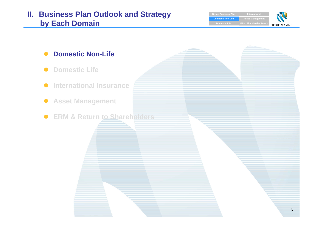# **II. Business Plan Outlook and Strategy by Each Domain Each ERM ERM ERM ERM ERM ERM ERM ERM ERM ERM ERM ERM ERM ERM ERM**

**Group Business Plan Domestic Non-Life Asset Management Domestic Life TOKIO MARINE** 

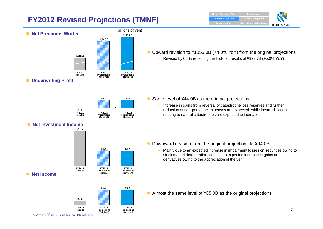# **FY2012 Revised Projections (TMNF)**





● Upward revision to ¥1855.0B (+4.0% YoY) from the original projections

Revised by 0.8% reflecting the first-half results of ¥929.7B (+5.0% YoY)

**FY2011 ResultsFY2012 Projections (Revised) FY2012 Projections (Original) -1.144.0 44.0**







● Almost the same level of ¥85.0B as the original projections

- $\bullet$  Same level of ¥44.0B as the original projections
	- – Increase in gains from reversal of catastrophe loss reserves and further reduction of non-personnel expenses are expected, while incurred losses relating to natural catastrophes are expected to increase

- $\bullet$  Downward revision from the original projections to ¥94.0B
	- – Mainly due to an expected increase in impairment losses on securities owing to stock market deterioration, despite an expected increase in gains on derivatives owing to the appreciation of the yen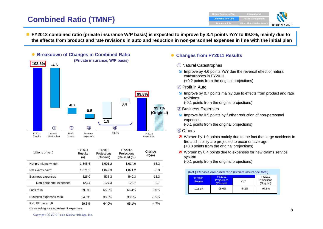# **Combined Ratio (TMNF)**

**Group Business Plan International Domestic Non-Life Asset Management ERM** · Shareholder Return **Domestic Life TOKIO MARINE** 

■ FY2012 combined ratio (private insurance W/P basis) is expected to improve by 3.4 points YoY to 99.8%, mainly due to **the effects from product and rate revisions in auto and reduction in non-personnel expenses in line with the initial plan**



| (billions of yen)        | FY2011<br>Results<br>(a) | FY2012<br>Projections<br>(Original) | FY2012<br>Projections<br>(Revised (b)) | Change<br>$(b)-(a)$ |
|--------------------------|--------------------------|-------------------------------------|----------------------------------------|---------------------|
| Net premiums written     | 1,545.6                  | 1,601.2                             | 1.614.0                                | 68.3                |
| Net claims paid*         | 1.071.5                  | 1.049.3                             | 1.071.2                                | $-0.3$              |
| <b>Business expenses</b> | 525.0                    | 538.3                               | 540.3                                  | 15.3                |
| Non-personnel expenses   | 123.4                    | 127.3                               | 122.7                                  | $-0.7$              |
| Loss ratio               | 69.3%                    | 65.5%                               | 66.4%                                  | $-3.0\%$            |
| Business expenses ratio  | 34.0%                    | 33.6%                               | 33.5%                                  | $-0.5%$             |
| Ref: E/I basis L/R       | 69.8%                    | 64.0%                               | 65.1%                                  | $-4.7%$             |

(\*) Including loss adjustment expenses

#### $\bullet$ **Changes from FY2011 Results**

- ① Natural Catastrophes
- **If** Improve by 4.6 points YoY due the reversal effect of natural catastrophes in FY2011 (+0.2 points from the original projections)
- ② Profit in Auto
- **If** Improve by 0.7 points mainly due to effects from product and rate revisions
	- (-0.1 points from the original projections)
- ③ Business Expenses
- **If** Improve by 0.5 points by further reduction of non-personnel expenses
	- (-0.1 points from the original projections)
- ④ Others
- **7** Worsen by 1.9 points mainly due to the fact that large accidents in fire and liability are projected to occur on average (+0.8 points from the original projections)
- **7** Worsen by 0.4 points due to expenses for new claims service system

(-0.1 points from the original projections)

| (Ref.) E/I basis combined ratio (Private insurance total) |                                           |                                     |       |  |  |  |  |
|-----------------------------------------------------------|-------------------------------------------|-------------------------------------|-------|--|--|--|--|
| FY2011<br><b>Results</b>                                  | FY2012<br><b>Projections</b><br>(Revised) | FY2012<br>Projections<br>(Original) |       |  |  |  |  |
| 103.8%                                                    | 98.6%                                     | $-5.2%$                             | 97.6% |  |  |  |  |

Copyright (c) 2012 Tokio Marine Holdings, Inc.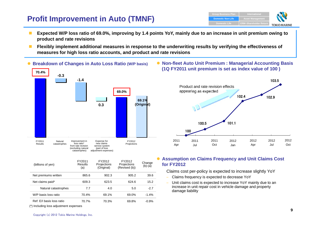# **Profit Improvement in Auto (TMNF)**



- **The Second Second Expected W/P loss ratio of 69.0%, improving by 1.4 points YoY, mainly due to an increase in unit premium owing to product and rate revisions**
- **Flexibly implement additional measures in response to the underwriting results by verifying the effectiveness of measures for high loss ratio accounts, and product and rate revisions**



| (billions of yen)         | FY2011<br>Results<br>(a) | FY2012<br>Projections<br>(Original) | FY2012<br>Projections<br>(Revised (b)) | Change<br>$(b)-(a)$ |
|---------------------------|--------------------------|-------------------------------------|----------------------------------------|---------------------|
| Net premiums written      | 865.6                    | 902.3                               | 905.2                                  | 39.6                |
| Net claims paid*          | 609.3                    | 623.5                               | 624.6                                  | 15.2                |
| Natural catastrophes      | 7.7                      | 4.0                                 | 5.0                                    | $-2.7$              |
| W/P basis loss ratio      | 70.4%                    | 69.1%                               | 69.0%                                  | $-1.4%$             |
| Ref: E/I basis loss ratio | 70.7%                    | 70.3%                               | 69.8%                                  | $-0.9%$             |

<sup>(\*)</sup> Including loss adjustment expenses

 **Non-fleet Auto Unit Premium : Managerial Accounting Basis (1Q FY2011 unit premium is set as index value of 100 )**



#### **Assumption on Claims Frequency and Unit Claims Cost for FY2012**

Claims cost per-policy is expected to increase slightly YoY

- Claims frequency is expected to decrease YoY
- Unit claims cost is expected to increase YoY mainly due to an increase in unit repair cost in vehicle damage and property damage liability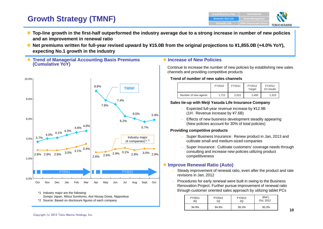# **Growth Strategy (TMNF)**



- Top-line growth in the first-half outperformed the industry average due to a strong increase in number of new policies **and an improvement in renewal ratio**
- **Net premiums written for full-year revised upward by ¥15.0B from the original projections to ¥1,855.0B (+4.0% YoY), expecting No.1 growth in the industry**





\*1 Industry major are the following: Sompo Japan, Mitsui Sumitomo, Aioi Nissay Dowa, Nipponkoa \*2 Source: Based on disclosure figures of each company

#### $\bullet$  **Increase of New Policies**

Continue to increase the number of new policies by establishing new sales channels and providing competitive products

#### **Trend of number of new sales channels**

|                      | FY2010 | FY2011 | FY2012<br>Target | FY2012<br>1H results |  |
|----------------------|--------|--------|------------------|----------------------|--|
| Number of new agents | 1.712  | 2.022  | 2.400            | 1.323                |  |

#### **Sales tie-up with Meiji Yasuda Life Insurance Company**

- Expected full-year revenue increase by ¥12.9B (1H: Revenue increase by ¥7.6B)
- Effects of new business development steadily appearing (New policies account for 30% of total policies)

#### **Providing competitive products**

- Super Business Insurance: Renew product in Jan, 2013 and cultivate small and medium-sized companies
- Super Insurance: Cultivate customers' coverage needs through consulting and increase new policies utilizing product competitiveness

#### **Improve Renewal Ratio (Auto)**

- Steady improvement of renewal ratio, even after the product and rate revisions in Jan, 2012
- Procedures for early renewal were built in owing to the Business Renovation Project. Further pursue improvement of renewal ratio through customer oriented sales approach by utilizing tablet PCs

| FY2011 | FY2012 | FY2012 | (Ref.)    |
|--------|--------|--------|-----------|
| 4Q     | 1Q     | 2Q     | Oct, 2012 |
| 94.9%  | 94.9%  | 95.3%  | 95.3%     |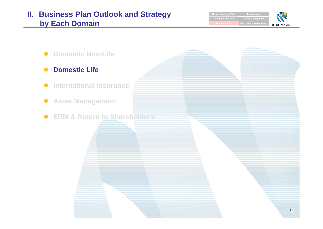# **II. Business Plan Outlook and Strategy by Each Domain**

 $\bullet$ 

 $\bullet$ 

 $\bullet$ 

**Group Business Plan International Asset M Domestic Non-LifeERM** · Shareholder Retur **TOKIO MARINE** 

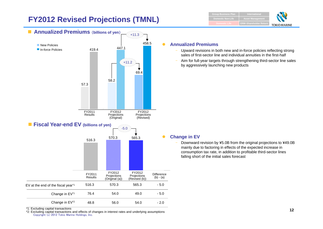# **FY2012 Revised Projections (TMNL)**



**ERM** · Shareholder Return **Asset Management Group Business Plan Domestic Non-Lif** 

# **TOKIO MARINE**

#### **Annualized Premiums**

- Upward revisions in both new and in-force policies reflecting strong sales of first-sector line and individual annuities in the first-half
- Aim for full-year targets through strengthening third-sector line sales by aggressively launching new products

#### **Change in EV**

 Downward revision by ¥5.0B from the original projections to ¥49.0B mainly due to factoring in effects of the expected increase in consumption tax rate, in addition to profitable third-sector lines falling short of the initial sales forecast

\*1: Excluding capital transactions

Copyright (c) 2012 Tokio Marine Holdings, Inc. \*2: Excluding capital transactions and effects of changes in interest rates and underlying assumptions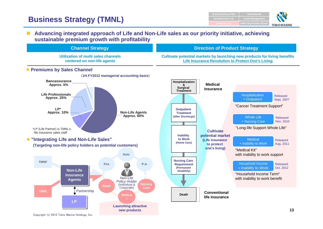# **Business Strategy (TMNL)**



#### $\mathbf{r}$  **Advancing integrated approach of Life and Non-Life sales as our priority initiative, achieving sustainable premium growth with profitability**



Copyright (c) 2012 Tokio Marine Holdings, Inc.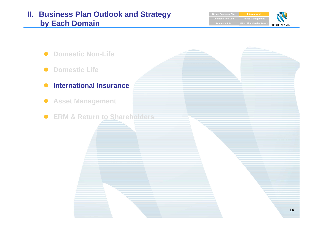# **II. Business Plan Outlook and Strategy by Each Domain**

**Group Business Plan International Asset Management Domestic Non-LifeERM** · Shareholder Return **Domestic Life TOKIO MARINE** 

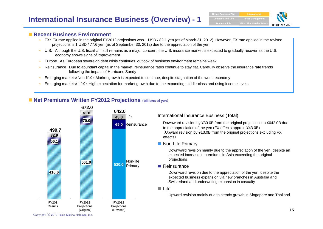## **International Insurance Business (Overview) - 1**



#### ■ Recent Business Environment

- • FX: FX rate applied in the original FY2012 projections was 1 USD / 82.1 yen (as of March 31, 2012). However, FX rate applied in the revised projections is 1 USD / 77.6 yen (as of September 30, 2012) due to the appreciation of the yen
- U.S.: Although the U.S. fiscal cliff still remains as a major concern, the U.S. insurance market is expected to gradually recover as the U.S. economy shows signs of improvement
- •Europe: As European sovereign debt crisis continues, outlook of business environment remains weak
- • Reinsurance: Due to abundant capital in the market, reinsurance rates continue to stay flat. Carefully observe the insurance rate trends following the impact of Hurricane Sandy
- •Emerging markets(Non-life): Market growth is expected to continue, despite stagnation of the world economy
- •Emerging markets(Life): High expectation for market growth due to the expanding middle-class and rising income levels

## **Net Premiums Written FY2012 Projections** (**billions of yen**)



Copyright (c) 2012 Tokio Marine Holdings, Inc.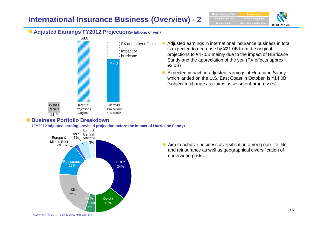# **International Insurance Business (Overview) - 2**





#### **Adjusted Earnings FY2012 Projections**(**billions of yen**)



## ■ Business Portfolio Breakdown

(**FY2012 adjusted earnings revised projection before the impact of Hurricane Sandy**)



- 0 Adjusted earnings in international insurance business in total is expected to decrease by ¥21.0B from the original projections to ¥47.0B mainly due to the impact of Hurricane Sandy and the appreciation of the yen (FX effects approx. ¥3.0B)
- O Expected impact on adjusted earnings of Hurricane Sandy, which landed on the U.S. East Coast in October, is ¥14.0B (subject to change as claims assessment progresses)

 $\bullet$  Aim to achieve business diversification among non-life, life and reinsurance as well as geographical diversification of underwriting risks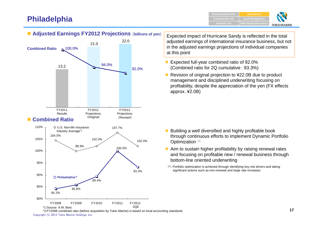# **Philadelphia**

\*1:Source: A.M. Best

84.2%

80%





**Adjusted Earnings FY2012 Projections** (**billions of yen**)

Expected impact of Hurricane Sandy is reflected in the total adjusted earnings of international insurance business, but not in the adjusted earnings projections of individual companies at this point

- $\bullet$  Expected full-year combined ratio of 92.0% (Combined ratio for 2Q cumulative: 93.3%)
- $\bullet$  Revision of original projection to ¥22.0B due to product management and disciplined underwriting focusing on profitability, despite the appreciation of the yen (FX effects approx. ¥2.0B)

- $\bullet$  Building a well diversified and highly profitable book through continuous efforts to implement Dynamic Portfolio Optimization (\*)
- Aim to sustain higher profitability by raising renewal rates and focusing on profitable new / renewal business through bottom-line oriented underwriting
- (\*) Portfolio optimization is achieved through identifying key risk drivers and taking significant actions such as non-renewal and large rate increases

Copyright (c) 2012 Tokio Marine Holdings, Inc. \*2:FY2008 combined ratio (before acquisition by Tokio Marine) is based on local accounting standards

2QE

FY2008 FY2009 FY2010 FY2011 FY2012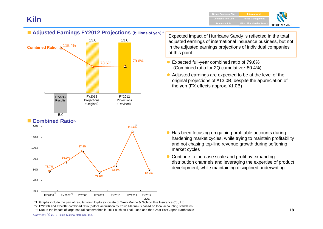## **Kiln**



## **Combined Ratio\*1**



Expected impact of Hurricane Sandy is reflected in the total adjusted earnings of international insurance business, but not in the adjusted earnings projections of individual companies at this point

- Expected full-year combined ratio of 79.6% (Combined ratio for 2Q cumulative: 80.4%)
- Adjusted earnings are expected to be at the level of the original projections of ¥13.0B, despite the appreciation of the yen (FX effects approx. ¥1.0B)

- $\bullet$  Has been focusing on gaining profitable accounts during hardening market cycles, while trying to maintain profitability and not chasing top-line revenue growth during softening market cycles
- $\bullet$  Continue to increase scale and profit by expanding distribution channels and leveraging the expertise of product development, while maintaining disciplined underwriting

\*1 :Graphs include the part of results from Lloyd's syndicate of Tokio Marine & Nichido Fire Insurance Co., Ltd. \*2: FY2006 and FY2007 combined ratio (before acquisition by Tokio Marine) is based on local accounting standards

\*3: Due to the impact of large natural catastrophes in 2011 such as Thai Flood and the Great East Japan Earthquake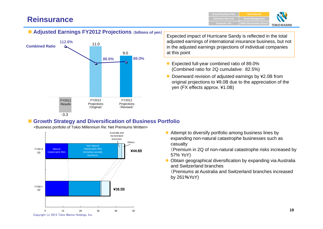# **Reinsurance**

**ERM** • Shareholder Ret **Asset Management Group Business Plan International Domestic LifeDomestic Non-Life**



## **Adjusted Earnings FY2012 Projections** (**billions of yen**)



Expected impact of Hurricane Sandy is reflected in the total adjusted earnings of international insurance business, but not in the adjusted earnings projections of individual companies at this point

- $\bullet$  Expected full-year combined ratio of 89.0% (Combined ratio for 2Q cumulative: 82.5%)
- $\bullet$  Downward revision of adjusted earnings by ¥2.0B from original projections to ¥9.0B due to the appreciation of the yen (FX effects approx. ¥1.0B)

### **Growth Strategy and Diversification of Business Portfolio**

<Business portfolio of Tokio Millennium Re: Net Premiums Written>



O Attempt to diversify portfolio among business lines by expanding non-natural catastrophe businesses such as casualty

(Premium in 2Q of non-natural catastrophe risks increased by 57% YoY)

 $\bullet$  Obtain geographical diversification by expanding via Australia and Switzerland branches(Premiums at Australia and Switzerland branches increased

by 261%YoY)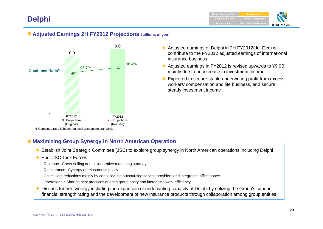# **Delphi**

## **Adjusted Earnings 2H FY2012 Projections** (**billions of yen**)



- Adjusted earnings of Delphi in 2H FY2012(Jul-Dec) will contribute to the FY2012 adjusted earnings of international insurance business
- $\bullet$  Adjusted earnings in FY2012 is revised upwards to ¥9.0B mainly due to an increase in investment income
- $\bullet$  Expected to secure stable underwriting profit from excess workers' compensation and life business, and secure steady investment income

## **Maximizing Group Synergy in North American Operation**

- $\bullet$ Establish Joint Strategic Committee (JSC) to explore group synergy in North American operations including Delphi
- Four JSC Task Forces

Revenue: Cross-selling and collaborative marketing strategy

- Reinsurance: Synergy of reinsurance policy
- Cost: Cost reductions mainly by consolidating outsourcing service providers and integrating office space
- Operational: Sharing best practices of each group entity and increasing work efficiency
- $\bullet$  Discuss further synergy including the expansion of underwriting capacity of Delphi by utilizing the Group's superior financial strength rating and the development of new insurance products through collaboration among group entities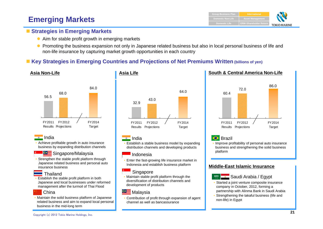# **Emerging Markets**

## **Example Strategies in Emerging Markets**

- Aim for stable profit growth in emerging markets
- $\bullet$  Promoting the business expansion not only in Japanese related business but also in local personal business of life and non-life insurance by capturing market growth opportunities in each country

## ■ Key Strategies in Emerging Countries and Projections of Net Premiums Written (billions of yen)



### India

• Achieve profitable growth in auto insurance business by expanding distribution channels

#### Singapore/Malaysia

• Strengthen the stable profit platform through Japanese related business and personal auto insurance business

#### **Thailand**

• Establish the stable profit platform in both Japanese and local businesses under reformed management after the turmoil of Thai Flood

#### **China**

• Maintain the solid business platform of Japanese related business and aim to expand local personal business in the mid-long term



## India

**Asia Life**

• Establish a stable business model by expanding distribution channels and developing products

#### Indonesia

• Enter the fast-growing life insurance market in Indonesia and establish business platform

#### Singapore

• Maintain stable profit platform through the diversification of distribution channels and development of products

## **GE** Malaysia

• Contribution of profit through expansion of agent channel as well as bancassurance

#### **South & Central America Non-Life**



## **S** Brazil

• Improve profitability of personal auto insurance business and strengthening the solid business platform

#### **Middle-East Islamic Insurance**



- Saudi Arabia / Egypt
- • Started a joint venture composite insurance company in October, 2012, forming a partnership with Alinma Bank in Saudi Arabia
- • Strengthening the takaful business (life and non-life) in Egypt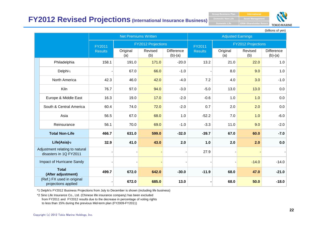## **FY2012 Revised Projections (International Insurance Business)**

**ERM** · Shareholder Retur **Asset Managem Domestic Life Domestic Non-Life**



(billions of yen)

|                                                          |                | <b>Net Premiums Written</b> |                           |                                |                | <b>Adjusted Earnings</b> |                           |                         |
|----------------------------------------------------------|----------------|-----------------------------|---------------------------|--------------------------------|----------------|--------------------------|---------------------------|-------------------------|
|                                                          | FY2011         |                             | <b>FY2012 Projections</b> |                                | FY2011         |                          | <b>FY2012 Projections</b> |                         |
|                                                          | <b>Results</b> | Original<br>(a)             | Revised<br>(b)            | <b>Difference</b><br>$(b)-(a)$ | <b>Results</b> | Original<br>(a)          | Revised<br>(b)            | Difference<br>$(b)-(a)$ |
| Philadelphia                                             | 158.1          | 191.0                       | 171.0                     | $-20.0$                        | 13.2           | 21.0                     | 22.0                      | 1.0                     |
| Delphi*1                                                 |                | 67.0                        | 66.0                      | $-1.0$                         |                | 8.0                      | 9.0                       | 1.0                     |
| North America                                            | 42.3           | 46.0                        | 42.0                      | $-4.0$                         | 7.2            | 4.0                      | 3.0                       | $-1.0$                  |
| Kiln                                                     | 76.7           | 97.0                        | 94.0                      | $-3.0$                         | $-5.0$         | 13.0                     | 13.0                      | 0.0                     |
| Europe & Middle East                                     | 16.3           | 19.0                        | 17.0                      | $-2.0$                         | $-0.6$         | 1.0                      | 1.0                       | 0.0                     |
| South & Central America                                  | 60.4           | 74.0                        | 72.0                      | $-2.0$                         | 0.7            | 2.0                      | 2.0                       | 0.0                     |
| Asia                                                     | 56.5           | 67.0                        | 68.0                      | 1.0                            | $-52.2$        | 7.0                      | 1.0                       | $-6.0$                  |
| Reinsurance                                              | 56.1           | 70.0                        | 69.0                      | $-1.0$                         | $-3.3$         | 11.0                     | 9.0                       | $-2.0$                  |
| <b>Total Non-Life</b>                                    | 466.7          | 631.0                       | 599.0                     | $-32.0$                        | $-39.7$        | 67.0                     | 60.0                      | $-7.0$                  |
| Life(Asia) <sup>*2</sup>                                 | 32.9           | 41.0                        | 43.0                      | 2.0                            | 1.0            | 2.0                      | 2.0                       | 0.0                     |
| Adjustment relating to natural<br>disasters in 1Q FY2011 |                |                             |                           |                                | 27.9           |                          |                           |                         |
| Impact of Hurricane Sandy                                |                |                             |                           |                                |                |                          | $-14.0$                   | $-14.0$                 |
| <b>Total</b><br>(After adjustment)                       | 499.7          | 672.0                       | 642.0                     | $-30.0$                        | $-11.9$        | 68.0                     | 47.0                      | $-21.0$                 |
| (Ref.) FX used in original<br>projections applied        |                | 672.0                       | 685.0                     | 13.0                           |                | 68.0                     | 50.0                      | $-18.0$                 |

\*1 Delphi's FY2012 Business Projections from July to December is shown (including life business)

\*2 Sino Life Insurance Co., Ltd. (Chinese life insurance company) has been excluded from FY2011 and FY2012 results due to the decrease in percentage of voting rights to less than 15% during the previous Mid-term plan (FY2009-FY2011)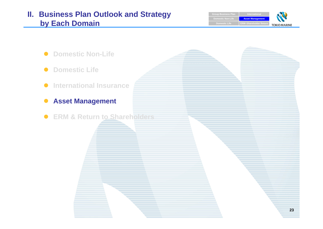# **II. Business Plan Outlook and Strategy by Each Domain**

 $\bullet$ 

 $\bullet$ 

 $\bullet$ 

 $\bullet$ 

**Group Business Plan Internation Asset Management Domestic Non-LifeERM** · Shareholder Return **Domestic Life TOKIO MARINE** 

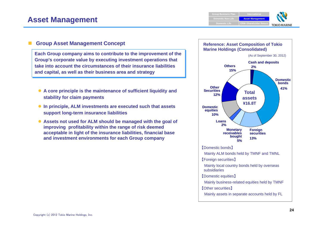# **TOKIO MARINE**

### **Group Asset Management Concept**

**Each Group company aims to contribute to the improvement of the Group's corporate value by executing investment operations that take into account the circumstances of their insurance liabilities and capital, as well as their business area and strategy**

- **A core principle is the maintenance of sufficient liquidity and stability for claim payments**
- **In principle, ALM investments are executed such that assets support long-term insurance liabilities**
- **Assets not used for ALM should be managed with the goal of improving profitability within the range of risk deemed acceptable in light of the insurance liabilities, financial base and investment environments for each Group company**

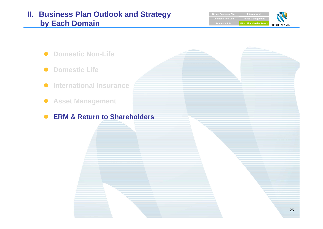# **II. Business Plan Outlook and Strategy by Each Domain**

**Group Business Plan International Asset Ma Domestic Non-LifeDomestic Life ERM**・**Shareholder Return TOKIO MARINE** 

- $\bullet$ **Domestic Non-Life**
- $\bullet$ **Domestic Life**
- $\bullet$ **International Insurance**
- **Asset Management**
- $\bullet$ **ERM & Return to Shareholders**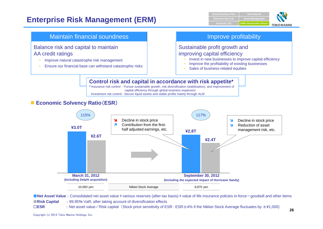# **Enterprise Risk Management (ERM)**





■**Net Asset Value**: Consolidated net asset value+various reserves (after-tax basis)+value of life insurance policies in-force-goodwill and other items ■**Risk Capital : 99.95% VaR, after taking account of diversification effects** □**ESR** :

: Net asset value  $\angle R$  isk capital (Stock price sensitivity of ESR: ESR  $\pm$ 4% if the Nikkei Stock Average fluctuates by  $\pm$ ¥1,000)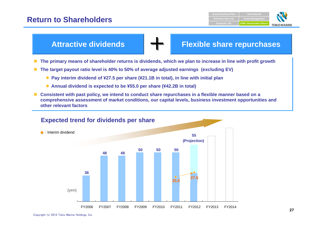## **Return to Shareholders**





- The target payout ratio level is 40% to 50% of average adjusted earnings (excluding EV)
	- **Pay interim dividend of ¥27.5 per share (¥21.1B in total), in line with initial plan**
	- **Annual dividend is expected to be ¥55.0 per share (¥42.2B in total)**
- Consistent with past policy, we intend to conduct share repurchases in a flexible manner based on a **comprehensive assessment of market conditions, our capital levels, business investment opportunities and other relevant factors**

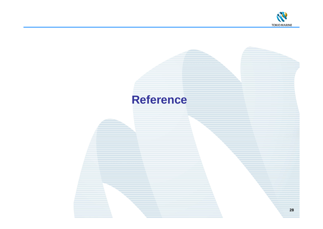

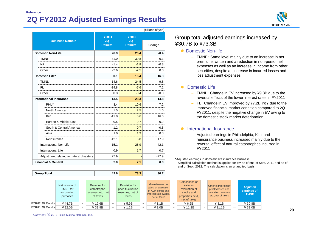## **2Q FY2012 Adjusted Earnings Results Reference**



|                                          |                                       |                                                | (billions of yen) |
|------------------------------------------|---------------------------------------|------------------------------------------------|-------------------|
| <b>Business Domain</b>                   | <b>FY2011</b><br>2Q<br><b>Results</b> | <b>FY2012</b><br>2Q<br><b>Results</b>          | Change            |
| <b>Domestic Non-Life</b>                 | 26.9                                  | 26.4                                           | $-0.4$            |
| <b>TMNF</b>                              | 31.0                                  | 30.8                                           | $-0.1$            |
| NF                                       | $-1.4$                                | <br>$-1.8$                                     | $-0.3$            |
| Other                                    | $-2.6$                                | $-2.5$                                         | 0.0               |
| Domestic Life*                           | 0.1                                   | 16.4                                           | 16.3              |
| <b>TMNL</b>                              | 14.6                                  | 24.5                                           | 9.8               |
| FL.                                      | $-14.8$                               | $-7.6$                                         | 7.2               |
| Other                                    | 0.3                                   | $-0.4$                                         | $-0.8$            |
| <b>International Insurance</b>           | 13.4                                  | 28.3                                           | 14.8              |
| PHLY                                     | 3.4                                   | 10.6<br><u>m <mark>mmmmmmmmmmmmmmmm</mark></u> | 7.2               |
| North America                            | 1.5                                   | 2.5                                            | 1.0               |
| Kiln                                     | $-11.0$                               | 5.6                                            | 16.6<br>աստավ     |
| Europe & Middle East                     | 0.5                                   | 0.7                                            | 0.2               |
| South & Central America                  | 1.2                                   | 0.7<br>                                        | $-0.5$            |
| Asia                                     | 1.0                                   | 1.3                                            | 0.3               |
| Reinsurance                              | $-12.1$                               | 5.8                                            | 17.9              |
| International Non-Life                   | $-15.1$                               | 26.9                                           | 42.1              |
| International Life                       | 0.9                                   | 1.7                                            | 0.7               |
| Adjustment relating to natural disasters | 27.9                                  |                                                | $-27.9$           |
| <b>Financial &amp; General</b>           | 2.0                                   | 2.1                                            | 0.0               |

| <b>Group Total</b> | $\overline{\phantom{a}}$<br><br>. | - -<br>- -<br><b>J.J</b> | 30. |
|--------------------|-----------------------------------|--------------------------|-----|

#### Group total adjusted earnings increased by ¥30.7B to ¥73.3B

#### • Domestic Non-life

– TMNF: Same level mainly due to an increase in net premiums written and a reduction in non-personnel expenses as well as an increase in income from other securities, despite an increase in incurred losses and loss adjustment expenses

#### • Domestic Life

- TMNL: Change in EV increased by ¥9.8B due to the reversal effects of the lower interest rates in FY2011
- $\equiv$  FL: Change in EV improved by ¥7.2B YoY due to the improved financial market condition compared to 2Q FY2011, despite the negative change in EV owing to the domestic stock market deterioration

#### **•** International Insurance

– Adjusted earnings in Philadelphia, Kiln, and reinsurance business increased mainly due to the reversal effect of natural catastrophes incurred in FY2011

\*Adjusted earnings in domestic life insurance business Simplified calculation method is applied for EV as of end of Sept, 2011 and as of end of Sept, 2012. The calculation is an unaudited basis

|                   | Net income of<br><b>TMNF</b> for<br>accounting<br>purposes |                          | Reversal for<br>catastrophe<br>reserves, etc. net<br>of taxes |                   | Provision for<br>price fluctuation<br>reserves, net of<br>taxes |        | Gains/losses on<br>sales or evaluation<br>of ALM bonds and<br>interest rate swaps,<br>net of taxes |                          | Gains/loses on<br>sales or<br>evaluation of<br>stocks and<br>properties held,<br>net of taxes | Other extraordinary<br>profits/losses and<br>valuation reserves<br>etc., net of taxes |     | <b>Adjusted</b><br>earnings of<br><b>TMNF</b> |
|-------------------|------------------------------------------------------------|--------------------------|---------------------------------------------------------------|-------------------|-----------------------------------------------------------------|--------|----------------------------------------------------------------------------------------------------|--------------------------|-----------------------------------------------------------------------------------------------|---------------------------------------------------------------------------------------|-----|-----------------------------------------------|
| FY2012 2Q Results | ¥44.7B                                                     | $\overline{\phantom{m}}$ | ¥ 12.6B                                                       | $\qquad \qquad -$ | ¥ 5.9B                                                          | $^{+}$ | ¥ 1.1B                                                                                             | $+$                      | ¥ 6.6B                                                                                        | $¥$ 3.1 $B$                                                                           | $=$ | $¥$ 30.8B                                     |
| FY2011 2Q Results | $¥$ 92.0B                                                  | $\overline{\phantom{m}}$ | ¥ 31.9B                                                       | $^{+}$            | ¥ 1.2B                                                          | $+$    | ¥ 2.0B                                                                                             | $\overline{\phantom{0}}$ | ¥ 11.2B                                                                                       | ¥ 21.1B                                                                               | $=$ | ¥ 31.0B                                       |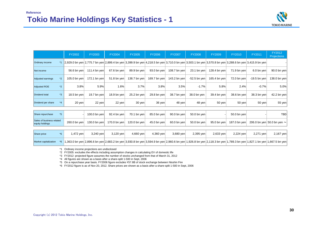

|                                              | FY2002       | FY2003       | <b>FY2004</b> | <b>FY2005</b>     | <b>FY2006</b> | <b>FY2007</b> | <b>FY2008</b>                                                                                                                                                        | <b>FY2009</b> | <b>FY2010</b> | FY2011         | FY2012<br><b>Projections</b>    |
|----------------------------------------------|--------------|--------------|---------------|-------------------|---------------|---------------|----------------------------------------------------------------------------------------------------------------------------------------------------------------------|---------------|---------------|----------------|---------------------------------|
| <b>Ordinary income</b>                       |              |              |               |                   |               |               | *1 2,929.0 bn yen 2,775.7 bn yen 2,899.4 bn yen 3,399.9 bn yen 4,218.5 bn yen 3,710.0 bn yen 3,503.1 bn yen 3,570.8 bn yen 3,288.6 bn yen 3,415.9 bn yen             |               |               |                |                                 |
| Net income                                   | 56.6 bn yen  | 111.4 bn yen | 67.6 bn yen   | 89.9 bn yen       | 93.0 bn yen   | 108.7 bn yen  | 23.1 bn yen $ $                                                                                                                                                      | 128.4 bn yen  | 71.9 bn yen   | 6.0 bn yen     | 90.0 bn yen                     |
| $*2$<br>Adjusted earnings                    | 105.0 bn ven | 172.1 bn yen | 51.8 bn yen   | 138.7 bn yen      | 169.7 bn yen  | 143.2 bn yen  | $-52.5$ bn yen                                                                                                                                                       | 165.4 bn yen  | 72.0 bn yen   | $-19.5$ bn yen | 138.0 bn yen                    |
| $*2$<br><b>Adjusted ROE</b>                  | 3.8%         | 5.9%         | 1.6%          | 3.7%              | 3.8%          | 3.5%          | $-1.7%$                                                                                                                                                              | 5.8%          | 2.4%          | $-0.7%$        | 5.0%                            |
| $*3$<br>Dividend total                       | 18.5 bn yen  | 19.7 bn yen  | 18.9 bn yen   | 25.2 bn yen       | 29.8 bn yen   | 38.7 bn yen   | 38.0 bn yen                                                                                                                                                          | 39.4 bn yen   | 38.6 bn yen   | 38.3 bn yen    | 42.2 bn yen                     |
| $*_{4}$<br>Dividend per share                | $20$ yen     | $22$ yen     | 22 yen        | $30 \,\text{yen}$ | 36 yen        | 48 yen        | 48 yen                                                                                                                                                               | 50 yen        | 50 yen        | 50 yen         | 55 yen                          |
|                                              |              |              |               |                   |               |               |                                                                                                                                                                      |               |               |                |                                 |
| $*5$<br>Share repurchase                     |              | 100.0 bn yen | 92.4 bn yen   | 70.1 bn yen       | 85.0 bn yen   | $90.0$ bn yen | 50.0 bn yen                                                                                                                                                          |               | 50.0 bn yen   |                | <b>TBD</b>                      |
| Sales of business related<br>equity holdings | 260.0 bn yen | 130.0 bn yen | 170.0 bn yen  | 120.0 bn yen      | 45.0 bn yen   | $60.0$ bn yen | 50.0 bn yen                                                                                                                                                          | $95.0$ bn yen | 187.0 bn yen  |                | 206.0 bn yen 50.0 bn yen $\sim$ |
|                                              |              |              |               |                   |               |               |                                                                                                                                                                      |               |               |                |                                 |
| $*6$<br>Share price                          | 1,472 yen    | 3,240 yen    | 3,120 yen     | 4,660 yen         | 4,360 yen     | 3,680 yen     | $2,395$ yen                                                                                                                                                          | 2,633 yen     | 2,224 yen     | 2,271 yen      | 2,167 yen                       |
| Market capitalization<br>*6                  |              |              |               |                   |               |               | 1,363.0 bn yen 2,896.6 bn yen 2,683.2 bn yen 3,930.8 bn yen 3,594.9 bn yen 2,960.6 bn yen 1,926.8 bn yen 2,118.3 bn yen 1,789.3 bn yen 1,827.1 bn yen 1,667.5 bn yen |               |               |                |                                 |

\*1 Ordinary income projections are undisclosed

\*2 FY2005: excludes the effects including assumption changes in calculating EV of domestic life

\*3 FY2012: projected figure assumes the number of stocks unchanged from that of March 31, 2012

\*4 All figures are shown as a basis after a share-split 1-500 in Sept, 2006

\*5 On a repurchase year basis. FY2006 figure excludes \57.8B of stock exchange between Nisshin Fire

\*6 FY2012 figure is as of Nov 20, 2012. Share prices are shown as a basis after a share-split 1-500 in Sept, 2006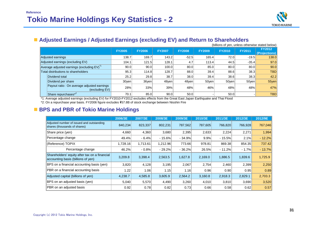

## **Adjusted Earnings / Adjusted Earnings (excluding EV) and Return to Shareholders**

|                                                              |               |               |               |               |               |               |               | (billions of yen, unless otherwise stated below) |
|--------------------------------------------------------------|---------------|---------------|---------------|---------------|---------------|---------------|---------------|--------------------------------------------------|
|                                                              | <b>FY2005</b> | <b>FY2006</b> | <b>FY2007</b> | <b>FY2008</b> | <b>FY2009</b> | <b>FY2010</b> | <b>FY2011</b> | <b>FY2012</b><br>(Projections)                   |
| Adjusted earnings                                            | 138.7         | 169.7         | 143.2         | $-52.5$       | 165.4         | 72.0          | $-19.5$       | 138.0                                            |
| Adjusted earnings (excluding EV)                             | 104.1         | 121.5         | 128.1         | 4.7           | 113.4         | 44.5          | $-35.4$       | 97.0                                             |
| Average adjusted earnings (excluding EV) <sup>-1</sup>       | 90.0          | 90.0          | 100.0         | 80.0          | 85.0          | 80.0          | 80.0          | 90.0                                             |
| Total distributions to shareholders                          | 95.3          | 114.8         | 128.7         | 88.0          | 39.4          | 88.6          | 38.3          | <b>TBD</b>                                       |
| Dividend total                                               | 25.2          | 29.8          | 38.7          | 38.0          | 39.4          | 38.6          | 38.3          | 42.2                                             |
| Dividend per share                                           | 30yen         | 36yen         | 48yen         | 48yen         | $50$ ven      | 50yen         | 50yen         | 55yen                                            |
| Payout ratio: On average adjusted earnings<br>(excluding EV) | 28%           | 33%           | 39%           | 48%           | 46%           | 48%           | 48%           | 47%                                              |
| Share repurchases*2                                          | 70.1          | 85.0          | 90.0          | 50.0          |               | 50.0          |               | <b>TBD</b>                                       |

\*1: Average adjusted earnings (excluding EV) for FY2010-FY2012 excludes effects from the Great East Japan Earthquake and Thai Flood

\*2: On a repurchase year basis. FY2006 figure excludes \57.8B of stock exchange between Nisshin Fire

#### **BPS and PBR of Tokio Marine Holdings**

|                                                                                     | 2006/3E  | 2007/3E  | 2008/3E  | 2009/3E  | 2010/3E | 2011/3E  | 2012/3E | 2012/9E  |
|-------------------------------------------------------------------------------------|----------|----------|----------|----------|---------|----------|---------|----------|
| Adjusted number of issued and outstanding<br>shares (thousands of shares)           | 840,234  | 823,337  | 802,231  | 787,562  | 787,605 | 766,820  | 766,928 | 767,046  |
| Share price (yen)                                                                   | 4,660    | 4,360    | 3,680    | 2,395    | 2,633   | 2,224    | 2,271   | 1,994    |
| Percentage change                                                                   | 49.4%    | $-6.4%$  | $-15.6%$ | $-34.9%$ | 9.9%    | $-15.5%$ | 2.1%    | $-12.2%$ |
| (Reference) TOPIX                                                                   | 1,728.16 | 1,713.61 | 1,212.96 | 773.66   | 978.81  | 869.38   | 854.35  | 737.42   |
| Percentage change                                                                   | 46.2%    | $-0.8%$  | $-29.2%$ | $-36.2%$ | 26.5%   | $-11.2%$ | $-1.7%$ | $-13.7%$ |
| Shareholders' equity after tax on a financial<br>accounting basis (billions of yen) | 3.209.8  | 3.398.4  | 2,563.5  | 1,627.8  | 2,169.0 | 1,886.5  | 1.839.6 | 1,725.9  |
| BPS on a financial accounting basis (yen)                                           | 3,820    | 4,128    | 3,195    | 2,067    | 2,754   | 2,460    | 2,399   | 2,250    |
| PBR on a financial accounting basis                                                 | 1.22     | 1.06     | 1.15     | 1.16     | 0.96    | 0.90     | 0.95    | 0.89     |
| Adjusted capital (billions of yen)                                                  | 4,238.7  | 4,585.8  | 3,605.9  | 2,564.2  | 3,160.8 | 2,918.3  | 2,829.1 | 2,703.3  |
| BPS on an adjusted basis (yen)                                                      | 5,040    | 5,570    | 4,490    | 3,260    | 4,010   | 3,810    | 3,690   | 3,520    |
| PBR on an adjusted basis                                                            | 0.92     | 0.78     | 0.82     | 0.73     | 0.66    | 0.58     | 0.62    | 0.57     |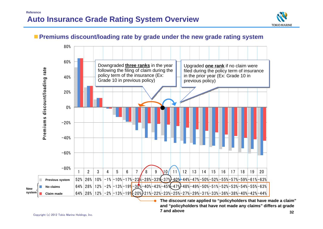

## **Premiums discount/loading rate by grade under the new grade rating system**



**The discount rate applied to "policyholders that have made a claim" and "policyholders that have not made any claims" differs at grade 7 and above** 

**New**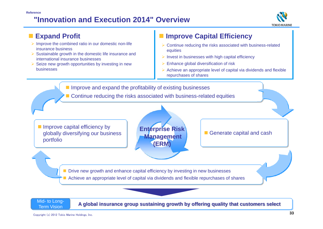#### **"Innovation and Execution 2014" OverviewReference**





Copyright (c) 2012 Tokio Marine Holdings, Inc.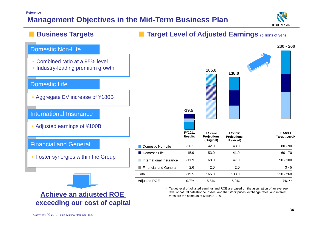# **Management Objectives in the Mid-Term Business Plan**



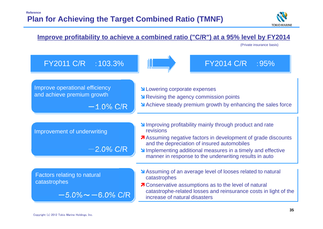

## Improving profitability mainly through product and rate revisions**A** Assuming negative factors in development of grade discounts and the depreciation of insured automobiles **IMPLAN** Implementing additional measures in a timely and effective manner in response to the underwriting results in auto **N** Lowering corporate expenses **N** Revising the agency commission points Achieve steady premium growth by enhancing the sales force **Improve profitability to achieve a combined ratio ("C/R") at a 95% level by FY2014** FY2011 C/R :103.3% FY2014 C/R :95%  $-$  1.0% C/R Assuming of an average level of looses related to natural catastrophes **7** Conservative assumptions as to the level of natural catastrophe-related losses and reinsurance costs in light of the increase of natural disasters $-2.0\%$  C/R  $-5.0\%$   $\thicksim$   $-6.0\%$  C/R Improve operational efficiency and achieve premium growth Improvement of underwriting Factors relating to natural catastrophes (Private insurance basis)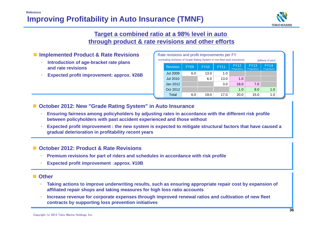

## **Target a combined ratio at a 98% level in auto through product & rate revisions and other efforts**

### **Implemented Product & Rate Revisions**

- • **Introduction of age-bracket rate plans and rate revisions**
- •**Expected profit improvement: approx. ¥26B**

| Rate revisions and profit improvements per FY<br>(excluding revisions of Grade Rating System in non-fleet auto insurance)<br>(billions of yen) |                                                                                                                                                                             |     |      |      |      |      |     |  |  |  |  |  |
|------------------------------------------------------------------------------------------------------------------------------------------------|-----------------------------------------------------------------------------------------------------------------------------------------------------------------------------|-----|------|------|------|------|-----|--|--|--|--|--|
|                                                                                                                                                | <b>FY14</b><br><b>FY12</b><br><b>FY13</b><br><b>FY11</b><br><b>Revision</b><br><b>FY10</b><br><b>FY09</b><br><b>Projections</b><br><b>Projections</b><br><b>Projections</b> |     |      |      |      |      |     |  |  |  |  |  |
|                                                                                                                                                | <b>Jul 2009</b>                                                                                                                                                             | 6.0 | 13.0 | 1.0  |      |      |     |  |  |  |  |  |
|                                                                                                                                                | <b>Jul 2010</b>                                                                                                                                                             |     | 6.0  | 13.0 | 1.0  |      |     |  |  |  |  |  |
|                                                                                                                                                | Jan 2012                                                                                                                                                                    |     |      | 3.0  | 18.0 | 7.0  |     |  |  |  |  |  |
|                                                                                                                                                | Oct 2012                                                                                                                                                                    |     |      |      | 1.0  | 8.0  | 1.0 |  |  |  |  |  |
|                                                                                                                                                | Total                                                                                                                                                                       | 6.0 | 19.0 | 17.0 | 20.0 | 15.0 | 1.0 |  |  |  |  |  |

## **October 2012: New "Grade Rating System" in Auto Insurance**

- • **Ensuring fairness among policyholders by adjusting rates in accordance with the different risk profile between policyholders with past accident experienced and those without**
- • **Expected profit improvement : the new system is expected to mitigate structural factors that have caused a gradual deterioration in profitability recent years**

#### **October 2012: Product & Rate Revisions**

- •**Premium revisions for part of riders and schedules in accordance with risk profile**
- •**Expected profit improvement** :**approx. ¥10B**

#### ■ Other

- • **Taking actions to improve underwriting results, such as ensuring appropriate repair cost by expansion of affiliated repair shops and taking measures for high loss ratio accounts**
- • **Increase revenue for corporate expenses through improved renewal ratios and cultivation of new fleet contracts by supporting loss prevention initiatives**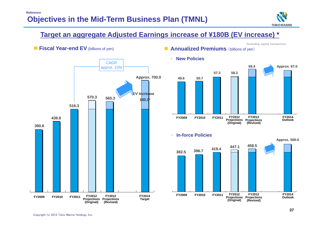

\*excluding capital transactions

## **Target an aggregate Adjusted Earnings increase of ¥180B (EV increase) \***

#### **Fiscal Year-end EV** (billions of yen)







•**In-force Policies**



#### •**New Policies**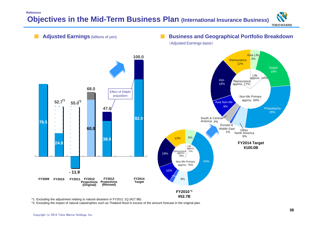## **Objectives in the Mid-Term Business Plan (International Insurance Business) Reference**



\*1: Excluding the adjustment relating to natural disasters in FY2011 1Q (¥27.9B)

\*2: Excluding the impact of natural catastrophes such as Thailand flood in excess of the amount forecast in the original plan

**TOKIO MARINE**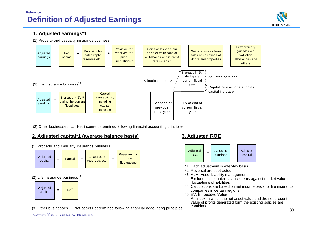

#### **1. Adjusted earnings\*1**





(3) Other businesses … Net income determined following financial accounting principles

#### **2. Adjusted capital\*1 (average balance basis) 3. Adjusted ROE**



(1) Property and casualty insurance business

#### (3) Other businesses … Net assets determined following financial accounting principles



- \*1 Each adjustment is after-tax basis
- \*2 Reversal are subtracted
- \*3 ALM: Asset Liability management Excluded as counter balance items against market value fluctuations of liabilities
- \*4 Calculations are based on net income basis for life insurance companies in certain regions.
- \*5 EV: Embedded Value

An index in which the net asset value and the net present value of profits generated form the existing policies are combined